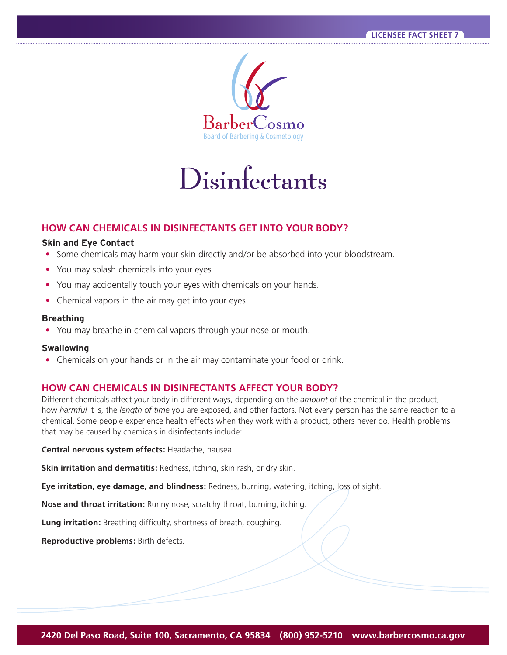

Disinfectants

## **HOW CAN CHEMICALS IN DISINFECTANTS GET INTO YOUR BODY?**

### **Skin and Eye Contact**

- Some chemicals may harm your skin directly and/or be absorbed into your bloodstream.
- You may splash chemicals into your eyes.
- You may accidentally touch your eyes with chemicals on your hands.
- Chemical vapors in the air may get into your eyes.

#### **Breathing**

**•** You may breathe in chemical vapors through your nose or mouth.

#### **Swallowing**

**•** Chemicals on your hands or in the air may contaminate your food or drink.

### **HOW CAN CHEMICALS IN DISINFECTANTS AFFECT YOUR BODY?**

Different chemicals affect your body in different ways, depending on the *amount* of the chemical in the product, how *harmful* it is, the *length of time* you are exposed, and other factors. Not every person has the same reaction to a chemical. Some people experience health effects when they work with a product, others never do. Health problems that may be caused by chemicals in disinfectants include:

**Central nervous system effects:** Headache, nausea.

**Skin irritation and dermatitis:** Redness, itching, skin rash, or dry skin.

**Eye irritation, eye damage, and blindness:** Redness, burning, watering, itching, loss of sight.

**Nose and throat irritation:** Runny nose, scratchy throat, burning, itching.

**Lung irritation:** Breathing difficulty, shortness of breath, coughing.

 **Reproductive problems:** Birth defects.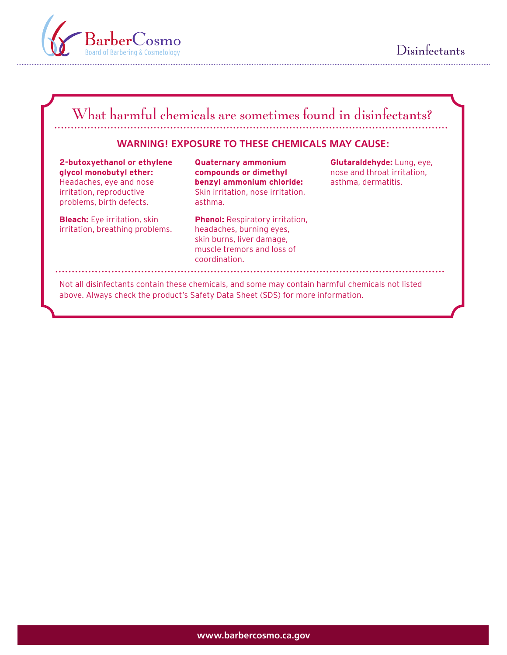



# What harmful chemicals are sometimes found in disinfectants? **WARNING! EXPOSURE TO THESE CHEMICALS MAY CAUSE: 2-butoxyethanol or ethylene Quaternary ammonium Glutaraldehyde:** Lung, eye, **glycol monobutyl ether: compounds or dimethyl nose and throat irritation**, Headaches, eye and nose **benzyl ammonium chloride:** asthma, dermatitis. irritation, reproductive Skin irritation, nose irritation, problems, birth defects. The asthma. **Bleach:** Eye irritation, skin **Phenol:** Respiratory irritation, irritation, breathing problems. headaches, burning eyes, skin burns, liver damage, muscle tremors and loss of

Not all disinfectants contain these chemicals, and some may contain harmful chemicals not listed above. Always check the product's Safety Data Sheet (SDS) for more information.

coordination.